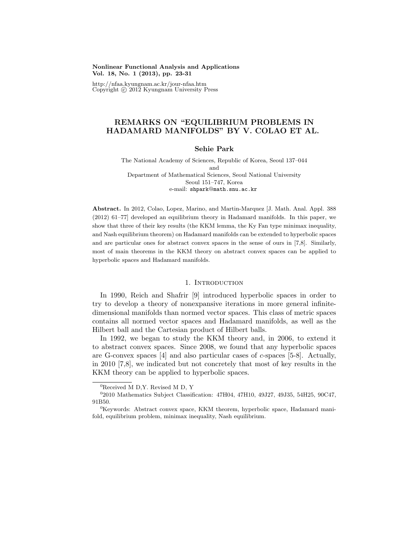### **Nonlinear Functional Analysis and Applications Vol. 18, No. 1 (2013), pp. 23-31**

http://nfaa.kyungnam.ac.kr/jour-nfaa.htm Copyright *⃝*c 2012 Kyungnam University Press

# **REMARKS ON "EQUILIBRIUM PROBLEMS IN HADAMARD MANIFOLDS" BY V. COLAO ET AL.**

# **Sehie Park**

The National Academy of Sciences, Republic of Korea, Seoul 137–044 and Department of Mathematical Sciences, Seoul National University Seoul 151–747, Korea e-mail: shpark@math.snu.ac.kr

**Abstract.** In 2012, Colao, Lopez, Marino, and Martin-Marquez [J. Math. Anal. Appl. 388 (2012) 61–77] developed an equilibrium theory in Hadamard manifolds. In this paper, we show that three of their key results (the KKM lemma, the Ky Fan type minimax inequality, and Nash equilibrium theorem) on Hadamard manifolds can be extended to hyperbolic spaces and are particular ones for abstract convex spaces in the sense of ours in [7,8]. Similarly, most of main theorems in the KKM theory on abstract convex spaces can be applied to hyperbolic spaces and Hadamard manifolds.

# 1. INTRODUCTION

In 1990, Reich and Shafrir [9] introduced hyperbolic spaces in order to try to develop a theory of nonexpansive iterations in more general infinitedimensional manifolds than normed vector spaces. This class of metric spaces contains all normed vector spaces and Hadamard manifolds, as well as the Hilbert ball and the Cartesian product of Hilbert balls.

In 1992, we began to study the KKM theory and, in 2006, to extend it to abstract convex spaces. Since 2008, we found that any hyperbolic spaces are G-convex spaces [4] and also particular cases of *c*-spaces [5-8]. Actually, in 2010 [7,8], we indicated but not concretely that most of key results in the KKM theory can be applied to hyperbolic spaces.

 ${}^{0}$ Received M D, Y. Revised M D, Y

<sup>&</sup>lt;sup>0</sup>2010 Mathematics Subject Classification: 47H04, 47H10, 49J27, 49J35, 54H25, 90C47, 91B50.

<sup>&</sup>lt;sup>0</sup>Keywords: Abstract convex space, KKM theorem, hyperbolic space, Hadamard manifold, equilibrium problem, minimax inequality, Nash equilibrium.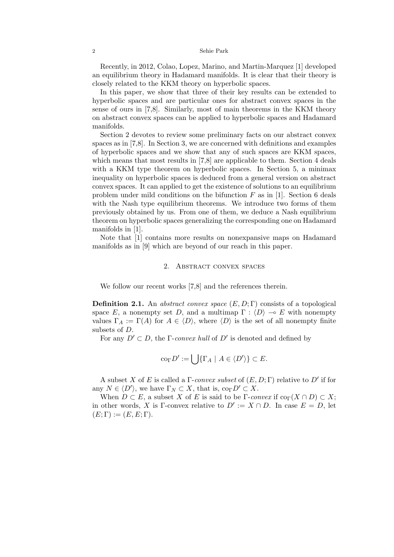#### 2 Sehie Park

Recently, in 2012, Colao, Lopez, Marino, and Martin-Marquez [1] developed an equilibrium theory in Hadamard manifolds. It is clear that their theory is closely related to the KKM theory on hyperbolic spaces.

In this paper, we show that three of their key results can be extended to hyperbolic spaces and are particular ones for abstract convex spaces in the sense of ours in [7,8]. Similarly, most of main theorems in the KKM theory on abstract convex spaces can be applied to hyperbolic spaces and Hadamard manifolds.

Section 2 devotes to review some preliminary facts on our abstract convex spaces as in [7,8]. In Section 3, we are concerned with definitions and examples of hyperbolic spaces and we show that any of such spaces are KKM spaces, which means that most results in [7,8] are applicable to them. Section 4 deals with a KKM type theorem on hyperbolic spaces. In Section 5, a minimax inequality on hyperbolic spaces is deduced from a general version on abstract convex spaces. It can applied to get the existence of solutions to an equilibrium problem under mild conditions on the bifunction *F* as in [1]. Section 6 deals with the Nash type equilibrium theorems. We introduce two forms of them previously obtained by us. From one of them, we deduce a Nash equilibrium theorem on hyperbolic spaces generalizing the corresponding one on Hadamard manifolds in [1].

Note that [1] contains more results on nonexpansive maps on Hadamard manifolds as in [9] which are beyond of our reach in this paper.

# 2. ABSTRACT CONVEX SPACES

We follow our recent works [7,8] and the references therein.

**Definition 2.1.** An *abstract convex space* (*E, D*; Γ) consists of a topological space *E*, a nonempty set *D*, and a multimap  $\Gamma : \langle D \rangle \to E$  with nonempty values  $\Gamma_A := \Gamma(A)$  for  $A \in \langle D \rangle$ , where  $\langle D \rangle$  is the set of all nonempty finite subsets of *D*.

For any  $D' \subset D$ , the  $\Gamma$ -*convex hull* of  $D'$  is denoted and defined by

$$
\mathrm{co}_{\Gamma} D' := \bigcup \{ \Gamma_A \mid A \in \langle D' \rangle \} \subset E.
$$

A subset *X* of *E* is called a Γ-*convex subset* of (*E, D*; Γ) relative to *D′* if for any  $N \in \langle D' \rangle$ , we have  $\Gamma_N \subset X$ , that is,  $\text{co}_{\Gamma} D' \subset X$ .

When  $D \subset E$ , a subset *X* of *E* is said to be  $\Gamma$ -*convex* if  $\text{co}_{\Gamma}(X \cap D) \subset X$ ; in other words, *X* is Γ-convex relative to  $D' := X \cap D$ . In case  $E = D$ , let  $(E; \Gamma) := (E, E; \Gamma).$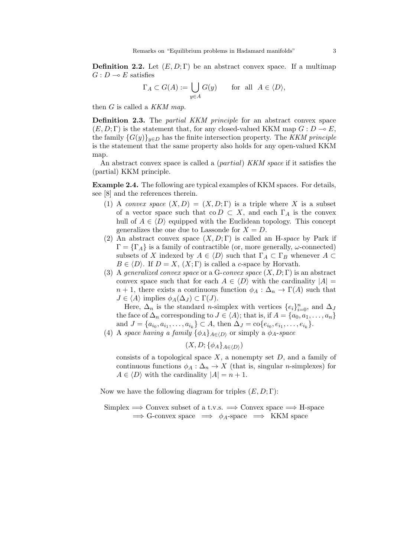**Definition 2.2.** Let  $(E, D; \Gamma)$  be an abstract convex space. If a multimap  $G: D \longrightarrow E$  satisfies

$$
\Gamma_A \subset G(A) := \bigcup_{y \in A} G(y) \quad \text{for all } A \in \langle D \rangle,
$$

then *G* is called a *KKM map*.

**Definition 2.3.** The *partial KKM principle* for an abstract convex space  $(E, D; \Gamma)$  is the statement that, for any closed-valued KKM map  $G: D \to E$ , the family  ${G(y)}_{y\in D}$  has the finite intersection property. The *KKM principle* is the statement that the same property also holds for any open-valued KKM map.

An abstract convex space is called a (*partial*) *KKM space* if it satisfies the (partial) KKM principle.

**Example 2.4.** The following are typical examples of KKM spaces. For details, see [8] and the references therein.

- (1) A *convex space*  $(X, D) = (X, D; \Gamma)$  is a triple where X is a subset of a vector space such that co  $D \subset X$ , and each  $\Gamma_A$  is the convex hull of  $A \in \langle D \rangle$  equipped with the Euclidean topology. This concept generalizes the one due to Lassonde for  $X = D$ .
- (2) An abstract convex space (*X, D*; Γ) is called an H-*space* by Park if  $\Gamma = {\Gamma_A}$  is a family of contractible (or, more generally, *ω*-connected) subsets of *X* indexed by  $A \in \langle D \rangle$  such that  $\Gamma_A \subset \Gamma_B$  whenever  $A \subset$  $B \in \langle D \rangle$ . If  $D = X$ ,  $(X; \Gamma)$  is called a *c*-space by Horvath.
- (3) A *generalized convex space* or a G-*convex space* (*X, D*; Γ) is an abstract convex space such that for each  $A \in \langle D \rangle$  with the cardinality  $|A|$  $n+1$ , there exists a continuous function  $\phi_A : \Delta_n \to \Gamma(A)$  such that  $J \in \langle A \rangle$  implies  $\phi_A(\Delta_J) \subset \Gamma(J)$ .

Here,  $\Delta_n$  is the standard *n*-simplex with vertices  $\{e_i\}_{i=0}^n$ , and  $\Delta_j$ the face of  $\Delta_n$  corresponding to  $J \in \langle A \rangle$ ; that is, if  $A = \{a_0, a_1, \ldots, a_n\}$ and  $J = \{a_{i_0}, a_{i_1}, \ldots, a_{i_k}\} \subset A$ , then  $\Delta_J = \text{co}\{e_{i_0}, e_{i_1}, \ldots, e_{i_k}\}.$ 

(4) A *space having a family*  $\{\phi_A\}_{A \in \langle D \rangle}$  or simply a  $\phi_A$ -*space* 

$$
(X,D;\{\phi_A\}_{A\in\langle D\rangle})
$$

consists of a topological space *X*, a nonempty set *D*, and a family of continuous functions  $\phi_A : \Delta_n \to X$  (that is, singular *n*-simplexes) for  $A \in \langle D \rangle$  with the cardinality  $|A| = n + 1$ .

Now we have the following diagram for triples (*E, D*; Γ):

Simplex =*⇒* Convex subset of a t.v.s. =*⇒* Convex space =*⇒* H-space =*⇒* G-convex space =*⇒ ϕA*-space =*⇒* KKM space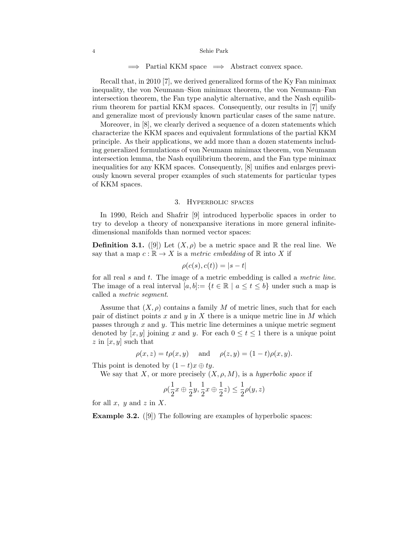# =*⇒* Partial KKM space =*⇒* Abstract convex space.

Recall that, in 2010 [7], we derived generalized forms of the Ky Fan minimax inequality, the von Neumann–Sion minimax theorem, the von Neumann–Fan intersection theorem, the Fan type analytic alternative, and the Nash equilibrium theorem for partial KKM spaces. Consequently, our results in [7] unify and generalize most of previously known particular cases of the same nature.

Moreover, in [8], we clearly derived a sequence of a dozen statements which characterize the KKM spaces and equivalent formulations of the partial KKM principle. As their applications, we add more than a dozen statements including generalized formulations of von Neumann minimax theorem, von Neumann intersection lemma, the Nash equilibrium theorem, and the Fan type minimax inequalities for any KKM spaces. Consequently, [8] unifies and enlarges previously known several proper examples of such statements for particular types of KKM spaces.

### 3. HYPERBOLIC SPACES

In 1990, Reich and Shafrir [9] introduced hyperbolic spaces in order to try to develop a theory of nonexpansive iterations in more general infinitedimensional manifolds than normed vector spaces:

**Definition 3.1.** ([9]) Let  $(X, \rho)$  be a metric space and R the real line. We say that a map  $c : \mathbb{R} \to X$  is a *metric embedding* of  $\mathbb{R}$  into X if

$$
\rho(c(s), c(t)) = |s - t|
$$

for all real *s* and *t*. The image of a metric embedding is called a *metric line*. The image of a real interval  $[a, b] := \{t \in \mathbb{R} \mid a \le t \le b\}$  under such a map is called a *metric segment*.

Assume that  $(X, \rho)$  contains a family *M* of metric lines, such that for each pair of distinct points *x* and *y* in *X* there is a unique metric line in *M* which passes through *x* and *y*. This metric line determines a unique metric segment denoted by  $[x, y]$  joining *x* and *y*. For each  $0 \le t \le 1$  there is a unique point *z* in [*x, y*] such that

$$
\rho(x, z) = t\rho(x, y)
$$
 and  $\rho(z, y) = (1 - t)\rho(x, y)$ .

This point is denoted by  $(1-t)x \oplus ty$ .

We say that *X*, or more precisely  $(X, \rho, M)$ , is a *hyperbolic space* if

$$
\rho(\frac{1}{2}x \oplus \frac{1}{2}y, \frac{1}{2}x \oplus \frac{1}{2}z) \le \frac{1}{2}\rho(y, z)
$$

for all *x, y* and *z* in *X*.

**Example 3.2.** ([9]) The following are examples of hyperbolic spaces: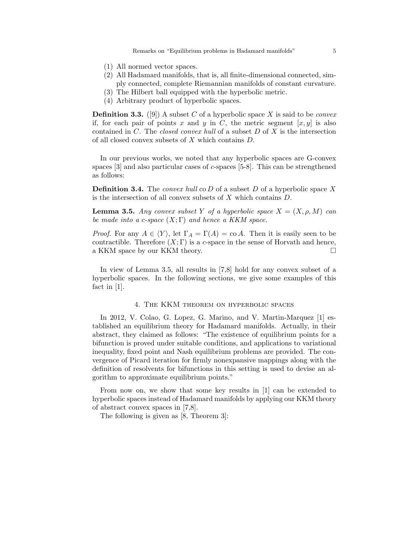Remarks on "Equilibrium problems in Hadamard manifolds" 5

- (1) All normed vector spaces.
- (2) All Hadamard manifolds, that is, all finite-dimensional connected, simply connected, complete Riemannian manifolds of constant curvature.
- (3) The Hilbert ball equipped with the hyperbolic metric.
- (4) Arbitrary product of hyperbolic spaces.

**Definition 3.3.** ([9]) A subset *C* of a hyperbolic space *X* is said to be *convex* if, for each pair of points  $x$  and  $y$  in  $C$ , the metric segment  $[x, y]$  is also contained in *C*. The *closed convex hull* of a subset *D* of *X* is the intersection of all closed convex subsets of *X* which contains *D*.

In our previous works, we noted that any hyperbolic spaces are G-convex spaces [3] and also particular cases of *c*-spaces [5-8]. This can be strengthened as follows:

**Definition 3.4.** The *convex hull* co *D* of a subset *D* of a hyperbolic space *X* is the intersection of all convex subsets of *X* which contains *D*.

**Lemma 3.5.** *Any convex subset Y of a hyperbolic space*  $X = (X, \rho, M)$  *can be made into a c-space* (*X*; Γ) *and hence a KKM space.*

*Proof.* For any  $A \in \langle Y \rangle$ , let  $\Gamma_A = \Gamma(A) = \text{co } A$ . Then it is easily seen to be contractible. Therefore  $(X; \Gamma)$  is a *c*-space in the sense of Horvath and hence, a KKM space by our KKM theory.

In view of Lemma 3.5, all results in [7,8] hold for any convex subset of a hyperbolic spaces. In the following sections, we give some examples of this fact in [1].

# 4. The KKM theorem on hyperbolic spaces

In 2012, V. Colao, G. Lopez, G. Marino, and V. Martin-Marquez [1] established an equilibrium theory for Hadamard manifolds. Actually, in their abstract, they claimed as follows: "The existence of equilibrium points for a bifunction is proved under suitable conditions, and applications to variational inequality, fixed point and Nash equilibrium problems are provided. The convergence of Picard iteration for firmly nonexpansive mappings along with the definition of resolvents for bifunctions in this setting is used to devise an algorithm to approximate equilibrium points."

From now on, we show that some key results in [1] can be extended to hyperbolic spaces instead of Hadamard manifolds by applying our KKM theory of abstract convex spaces in [7,8].

The following is given as [8, Theorem 3]: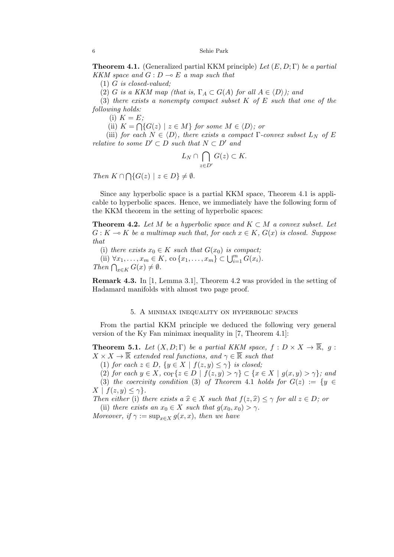**Theorem 4.1.** (Generalized partial KKM principle) *Let* (*E, D*; Γ) *be a partial KKM space and*  $G: D \to E$  *a map such that* 

(1) *G is closed-valued;*

(2) *G is a KKM map (that is,*  $\Gamma_A \subset G(A)$  *for all*  $A \in \langle D \rangle$ *); and* 

(3) *there exists a nonempty compact subset K of E such that one of the following holds:*

(i)  $K = E$ ;

(ii)  $K = \bigcap \{ G(z) \mid z \in M \}$  for some  $M \in \langle D \rangle$ ; or

(iii) *for each*  $N \in \langle D \rangle$ *, there exists a compact*  $\Gamma$ *-convex subset*  $L_N$  *of*  $E$ *relative to some*  $D' \subset D$  *such that*  $N \subset D'$  *and* 

$$
L_N \cap \bigcap_{z \in D'} G(z) \subset K.
$$

 $Then K \cap \bigcap \{G(z) \mid z \in D\} \neq \emptyset.$ 

Since any hyperbolic space is a partial KKM space, Theorem 4.1 is applicable to hyperbolic spaces. Hence, we immediately have the following form of the KKM theorem in the setting of hyperbolic spaces:

**Theorem 4.2.** *Let*  $M$  *be a hyperbolic space and*  $K \subset M$  *a convex subset. Let*  $G: K \to K$  *be a multimap such that, for each*  $x \in K$ ,  $G(x)$  *is closed. Suppose that*

(i) *there exists*  $x_0 \in K$  *such that*  $G(x_0)$  *is compact*;  $(iii) \ \forall x_1, \ldots, x_m \in K, \text{ co } \{x_1, \ldots, x_m\} \subset \bigcup_{i=1}^m \hat{G}(x_i).$ *Then*  $\bigcap_{x \in K} G(x) \neq \emptyset$ *.* 

**Remark 4.3.** In [1, Lemma 3.1], Theorem 4.2 was provided in the setting of Hadamard manifolds with almost two page proof.

# 5. A minimax inequality on hyperbolic spaces

From the partial KKM principle we deduced the following very general version of the Ky Fan minimax inequality in [7, Theorem 4.1]:

**Theorem 5.1.** *Let*  $(X, D; \Gamma)$  *be a partial KKM space,*  $f : D \times X \to \overline{\mathbb{R}}$ *, g*:  $X \times X \to \overline{\mathbb{R}}$  *extended real functions, and*  $\gamma \in \overline{\mathbb{R}}$  *such that* 

(1) *for each*  $z \in D$ ,  $\{y \in X \mid f(z, y) \leq \gamma\}$  *is closed;* 

(2) for each  $y \in X$ ,  $\text{co}_{\Gamma}\{z \in D \mid f(z,y) > \gamma\} \subset \{x \in X \mid g(x,y) > \gamma\}$ ; and (3) *the coercivity condition* (3) *of Theorem* 4.1 *holds for*  $G(z) := \{y \in$ 

 $X \mid f(z, y) \leq \gamma$ . *Then either* (i) *there exists a*  $\hat{x} \in X$  *such that*  $f(z, \hat{x}) \leq \gamma$  *for all*  $z \in D$ *; or* 

(ii) *there exists an*  $x_0 \in X$  *such that*  $g(x_0, x_0) > \gamma$ .

*Moreover, if*  $\gamma := \sup_{x \in X} g(x, x)$ *, then we have*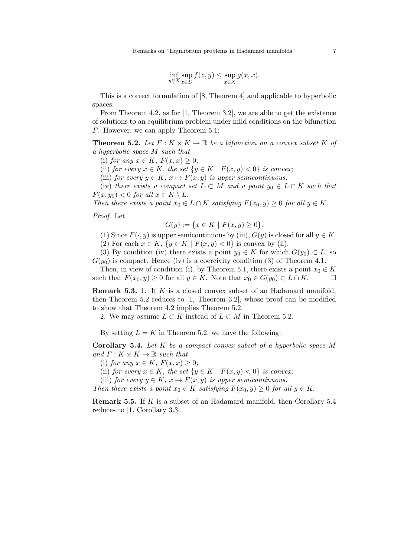$$
\inf_{y \in X} \sup_{z \in D} f(z, y) \le \sup_{x \in X} g(x, x).
$$

This is a correct formulation of [8, Theorem 4] and applicable to hyperbolic spaces.

From Theorem 4.2, as for [1, Theorem 3.2], we are able to get the existence of solutions to an equilibrium problem under mild conditions on the bifunction *F*. However, we can apply Theorem 5.1:

**Theorem 5.2.** Let  $F: K \times K \to \mathbb{R}$  be a bifunction on a convex subset K of *a hyperbolic space M such that*

(i) *for any*  $x \in K$ *,*  $F(x, x) \geq 0$ *;* 

(ii) *for every*  $x \in K$ *, the set*  $\{y \in K \mid F(x, y) < 0\}$  *is convex;* 

(iii) *for every*  $y \in K$ ,  $x \mapsto F(x, y)$  *is upper semicontinuous;* 

(iv) *there exists a compact set*  $L \subset M$  *and a point*  $y_0 \in L \cap K$  *such that*  $F(x, y_0) < 0$  *for all*  $x \in K \setminus L$ .

*Then there exists a point*  $x_0 \in L \cap K$  *satisfying*  $F(x_0, y) \geq 0$  *for all*  $y \in K$ *.* 

*Proof.* Let

$$
G(y) := \{ x \in K \mid F(x, y) \ge 0 \}.
$$

(1) Since  $F(\cdot, y)$  is upper semicontinuous by (iii),  $G(y)$  is closed for all  $y \in K$ .

(2) For each  $x \in K$ ,  $\{y \in K \mid F(x, y) < 0\}$  is convex by (ii).

(3) By condition (iv) there exists a point  $y_0 \in K$  for which  $G(y_0) \subset L$ , so  $G(y_0)$  is compact. Hence (iv) is a coercivity condition (3) of Theorem 4.1.

Then, in view of condition (i), by Theorem 5.1, there exists a point  $x_0 \in K$ such that  $F(x_0, y) \geq 0$  for all  $y \in K$ . Note that  $x_0 \in G(y_0) \subset L \cap K$ .

**Remark 5.3.** 1. If *K* is a closed convex subset of an Hadamard manifold, then Theorem 5.2 reduces to [1, Theorem 3.2], whose proof can be modified to show that Theorem 4.2 implies Theorem 5.2.

2. We may assume  $L \subset K$  instead of  $L \subset M$  in Theorem 5.2.

By setting  $L = K$  in Theorem 5.2, we have the following:

**Corollary 5.4.** *Let K be a compact convex subset of a hyperbolic space M and*  $F: K \times K \to \mathbb{R}$  *such that* 

(i) *for any*  $x \in K$ *,*  $F(x, x) \geq 0$ *;* 

(ii) *for every*  $x \in K$ *, the set*  $\{y \in K \mid F(x, y) < 0\}$  *is convex;* 

(iii) *for every*  $y \in K$ ,  $x \mapsto F(x, y)$  *is upper semicontinuous.* 

*Then there exists a point*  $x_0 \in K$  *satisfying*  $F(x_0, y) \geq 0$  *for all*  $y \in K$ .

**Remark 5.5.** If *K* is a subset of an Hadamard manifold, then Corollary 5.4 reduces to [1, Corollary 3.3].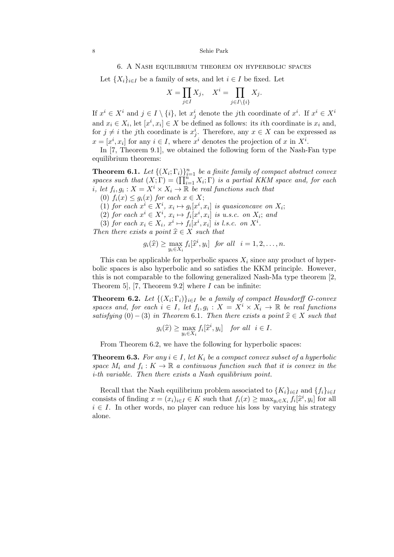#### 8 Sehie Park

### 6. A Nash equilibrium theorem on hyperbolic spaces

Let  ${X_i}_{i \in I}$  be a family of sets, and let  $i \in I$  be fixed. Let

$$
X = \prod_{j \in I} X_j, \quad X^i = \prod_{j \in I \setminus \{i\}} X_j.
$$

If  $x^i \in X^i$  and  $j \in I \setminus \{i\}$ , let  $x^i_j$  denote the *j*th coordinate of  $x^i$ . If  $x^i \in X^i$ and  $x_i \in X_i$ , let  $[x^i, x_i] \in X$  be defined as follows: its *i*th coordinate is  $x_i$  and, for  $j \neq i$  the *j*th coordinate is  $x_j^i$ . Therefore, any  $x \in X$  can be expressed as  $x = [x^i, x_i]$  for any  $i \in I$ , where  $x^i$  denotes the projection of *x* in  $X^i$ .

In [7, Theorem 9.1], we obtained the following form of the Nash-Fan type equilibrium theorems:

**Theorem 6.1.** *Let*  $\{(X_i; \Gamma_i)\}_{i=1}^n$  *be a finite family of compact abstract convex spaces such that*  $(X; \Gamma) = (\prod_{i=1}^{n} X_i; \Gamma)$  *is a partial KKM space and, for each i*, let  $f_i, g_i: X = X^i \times X_i \rightarrow \mathbb{R}$  be real functions such that

 $(0)$   $f_i(x) \leq g_i(x)$  for each  $x \in X$ ;

(1) for each  $x^i \in X^i$ ,  $x_i \mapsto g_i[x^i, x_i]$  is quasiconcave on  $X_i$ ;

(2) *for each*  $x^i \in X^i$ ,  $x_i \mapsto f_i[x^i, x_i]$  *is u.s.c. on*  $X_i$ ; *and* 

(3) *for each*  $x_i \in X_i$ ,  $x^i \mapsto f_i[x^i, x_i]$  *is l.s.c. on*  $X^i$ .

*Then there exists a point*  $\hat{x} \in X$  *such that* 

$$
g_i(\widehat{x}) \geq \max_{y_i \in X_i} f_i[\widehat{x}^i, y_i] \text{ for all } i = 1, 2, \dots, n.
$$

This can be applicable for hyperbolic spaces  $X_i$  since any product of hyperbolic spaces is also hyperbolic and so satisfies the KKM principle. However, this is not comparable to the following generalized Nash-Ma type theorem [2, Theorem 5], [7, Theorem 9.2] where *I* can be infinite:

**Theorem 6.2.** Let  $\{(X_i; \Gamma_i)\}_{i \in I}$  be a family of compact Hausdorff G-convex *spaces and, for each*  $i \in I$ *, let*  $f_i, g_i : X = X^i \times X_i \rightarrow \mathbb{R}$  *be real functions satisfying*  $(0) - (3)$  *in Theorem* 6.1*. Then there exists a point*  $\hat{x} \in X$  *such that* 

$$
g_i(\widehat{x}) \ge \max_{y_i \in X_i} f_i[\widehat{x}^i, y_i] \quad \text{for all} \ \ i \in I.
$$

From Theorem 6.2, we have the following for hyperbolic spaces:

**Theorem 6.3.** *For any*  $i \in I$ *, let*  $K_i$  *be a compact convex subset of a hyperbolic space*  $M_i$  *and*  $f_i: K \to \mathbb{R}$  *a continuous function such that it is convex in the i-th variable. Then there exists a Nash equilibrium point.*

Recall that the Nash equilibrium problem associated to  ${K_i}_{i \in I}$  and  ${f_i}_{i \in I}$ consists of finding  $x = (x_i)_{i \in I} \in K$  such that  $f_i(x) \ge \max_{y_i \in X_i} f_i[\hat{x}^i, y_i]$  for all  $i \in I$ . In other words, no player can reduce his loss by varying his strategy alone.